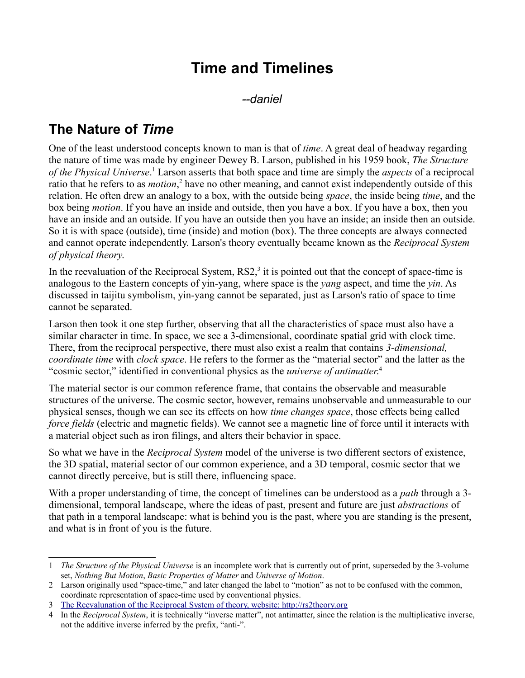# **Time and Timelines**

*--daniel*

## **The Nature of** *Time*

One of the least understood concepts known to man is that of *time*. A great deal of headway regarding the nature of time was made by engineer Dewey B. Larson, published in his 1959 book, *The Structure of the Physical Universe*. [1](#page-0-0) Larson asserts that both space and time are simply the *aspects* of a reciprocal ratio that he refers to as *motion*,<sup>[2](#page-0-1)</sup> have no other meaning, and cannot exist independently outside of this relation. He often drew an analogy to a box, with the outside being *space*, the inside being *time*, and the box being *motion*. If you have an inside and outside, then you have a box. If you have a box, then you have an inside and an outside. If you have an outside then you have an inside; an inside then an outside. So it is with space (outside), time (inside) and motion (box). The three concepts are always connected and cannot operate independently. Larson's theory eventually became known as the *Reciprocal System of physical theory*.

In the reevaluation of the Reciprocal System,  $RSS<sub>1</sub><sup>3</sup>$  $RSS<sub>1</sub><sup>3</sup>$  $RSS<sub>1</sub><sup>3</sup>$  it is pointed out that the concept of space-time is analogous to the Eastern concepts of yin-yang, where space is the *yang* aspect, and time the *yin*. As discussed in taijitu symbolism, yin-yang cannot be separated, just as Larson's ratio of space to time cannot be separated.

Larson then took it one step further, observing that all the characteristics of space must also have a similar character in time. In space, we see a 3-dimensional, coordinate spatial grid with clock time. There, from the reciprocal perspective, there must also exist a realm that contains *3-dimensional, coordinate time* with *clock space*. He refers to the former as the "material sector" and the latter as the "cosmic sector," identified in conventional physics as the *universe of antimatter*.<sup>[4](#page-0-3)</sup>

The material sector is our common reference frame, that contains the observable and measurable structures of the universe. The cosmic sector, however, remains unobservable and unmeasurable to our physical senses, though we can see its effects on how *time changes space*, those effects being called *force fields* (electric and magnetic fields). We cannot see a magnetic line of force until it interacts with a material object such as iron filings, and alters their behavior in space.

So what we have in the *Reciprocal System* model of the universe is two different sectors of existence, the 3D spatial, material sector of our common experience, and a 3D temporal, cosmic sector that we cannot directly perceive, but is still there, influencing space.

With a proper understanding of time, the concept of timelines can be understood as a *path* through a 3 dimensional, temporal landscape, where the ideas of past, present and future are just *abstractions* of that path in a temporal landscape: what is behind you is the past, where you are standing is the present, and what is in front of you is the future.

<span id="page-0-0"></span><sup>1</sup> *The Structure of the Physical Universe* is an incomplete work that is currently out of print, superseded by the 3-volume set, *Nothing But Motion*, *Basic Properties of Matter* and *Universe of Motion*.

<span id="page-0-1"></span><sup>2</sup> Larson originally used "space-time," and later changed the label to "motion" as not to be confused with the common, coordinate representation of space-time used by conventional physics.

<span id="page-0-2"></span><sup>3</sup> [The Reevalunation of the Reciprocal System of theory, website: http://rs2theory.org](http://rs2theory.org/)

<span id="page-0-3"></span><sup>4</sup> In the *Reciprocal System*, it is technically "inverse matter", not antimatter, since the relation is the multiplicative inverse, not the additive inverse inferred by the prefix, "anti-".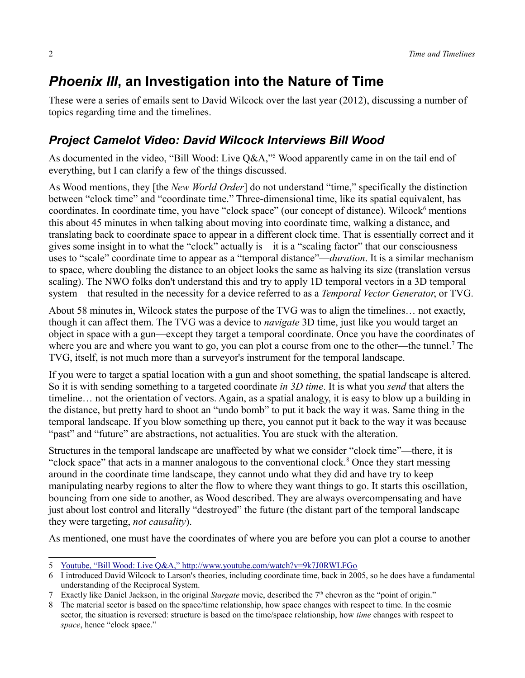## *Phoenix III***, an Investigation into the Nature of Time**

These were a series of emails sent to David Wilcock over the last year (2012), discussing a number of topics regarding time and the timelines.

#### *Project Camelot Video: David Wilcock Interviews Bill Wood*

As documented in the video, "Bill Wood: Live Q&A,"<sup>[5](#page-1-0)</sup> Wood apparently came in on the tail end of everything, but I can clarify a few of the things discussed.

As Wood mentions, they [the *New World Order*] do not understand "time," specifically the distinction between "clock time" and "coordinate time." Three-dimensional time, like its spatial equivalent, has coordinates. In coordinate time, you have "clock space" (our concept of distance). Wilcock<sup>[6](#page-1-1)</sup> mentions this about 45 minutes in when talking about moving into coordinate time, walking a distance, and translating back to coordinate space to appear in a different clock time. That is essentially correct and it gives some insight in to what the "clock" actually is—it is a "scaling factor" that our consciousness uses to "scale" coordinate time to appear as a "temporal distance"—*duration*. It is a similar mechanism to space, where doubling the distance to an object looks the same as halving its size (translation versus scaling). The NWO folks don't understand this and try to apply 1D temporal vectors in a 3D temporal system—that resulted in the necessity for a device referred to as a *Temporal Vector Generator*, or TVG.

About 58 minutes in, Wilcock states the purpose of the TVG was to align the timelines… not exactly, though it can affect them. The TVG was a device to *navigate* 3D time, just like you would target an object in space with a gun—except they target a temporal coordinate. Once you have the coordinates of where you are and where you want to go, you can plot a course from one to the other—the tunnel.<sup>[7](#page-1-2)</sup> The TVG, itself, is not much more than a surveyor's instrument for the temporal landscape.

If you were to target a spatial location with a gun and shoot something, the spatial landscape is altered. So it is with sending something to a targeted coordinate *in 3D time*. It is what you *send* that alters the timeline… not the orientation of vectors. Again, as a spatial analogy, it is easy to blow up a building in the distance, but pretty hard to shoot an "undo bomb" to put it back the way it was. Same thing in the temporal landscape. If you blow something up there, you cannot put it back to the way it was because "past" and "future" are abstractions, not actualities. You are stuck with the alteration.

Structures in the temporal landscape are unaffected by what we consider "clock time"—there, it is "clock space" that acts in a manner analogous to the conventional clock.<sup>[8](#page-1-3)</sup> Once they start messing around in the coordinate time landscape, they cannot undo what they did and have try to keep manipulating nearby regions to alter the flow to where they want things to go. It starts this oscillation, bouncing from one side to another, as Wood described. They are always overcompensating and have just about lost control and literally "destroyed" the future (the distant part of the temporal landscape they were targeting, *not causality*).

As mentioned, one must have the coordinates of where you are before you can plot a course to another

<span id="page-1-0"></span><sup>5</sup> [Youtube, "Bill Wood: Live Q&A," http://www.youtube.com/watch?v=9k7J0RWLFGo](http://www.youtube.com/watch?v=9k7J0RWLFGo)

<span id="page-1-1"></span><sup>6</sup> I introduced David Wilcock to Larson's theories, including coordinate time, back in 2005, so he does have a fundamental understanding of the Reciprocal System.

<span id="page-1-2"></span><sup>7</sup> Exactly like Daniel Jackson, in the original *Stargate* movie, described the 7th chevron as the "point of origin."

<span id="page-1-3"></span><sup>8</sup> The material sector is based on the space/time relationship, how space changes with respect to time. In the cosmic sector, the situation is reversed: structure is based on the time/space relationship, how *time* changes with respect to *space*, hence "clock space."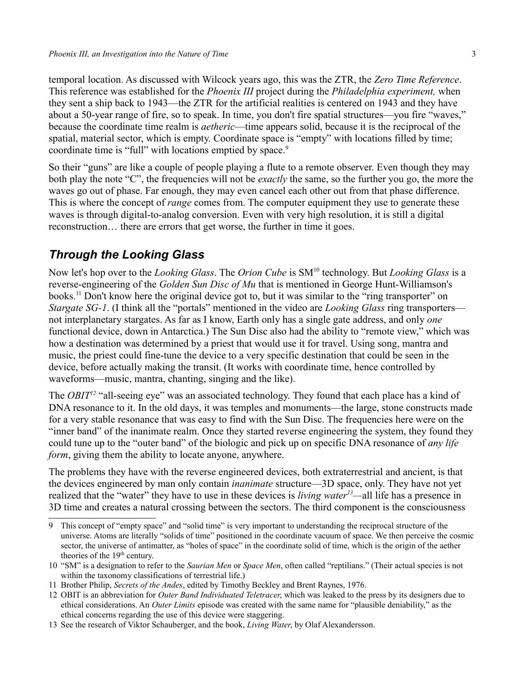temporal location. As discussed with Wilcock years ago, this was the ZTR, the *Zero Time Reference*. This reference was established for the *Phoenix III* project during the *Philadelphia experiment,* when they sent a ship back to 1943—the ZTR for the artificial realities is centered on 1943 and they have about a 50-year range of fire, so to speak. In time, you don't fire spatial structures—you fire "waves," because the coordinate time realm is *aetheric*—time appears solid, because it is the reciprocal of the spatial, material sector, which is empty. Coordinate space is "empty" with locations filled by time; coordinate time is "full" with locations emptied by space.<sup>[9](#page-2-0)</sup>

So their "guns" are like a couple of people playing a flute to a remote observer. Even though they may both play the note "C", the frequencies will not be *exactly* the same, so the further you go, the more the waves go out of phase. Far enough, they may even cancel each other out from that phase difference. This is where the concept of *range* comes from. The computer equipment they use to generate these waves is through digital-to-analog conversion. Even with very high resolution, it is still a digital reconstruction… there are errors that get worse, the further in time it goes.

#### *Through the Looking Glass*

Now let's hop over to the *Looking Glass*. The *Orion Cube* is SM<sup>[10](#page-2-1)</sup> technology. But *Looking Glass* is a reverse-engineering of the *Golden Sun Disc of Mu* that is mentioned in George Hunt-Williamson's books.[11](#page-2-2) Don't know here the original device got to, but it was similar to the "ring transporter" on *Stargate SG-1*. (I think all the "portals" mentioned in the video are *Looking Glass* ring transporters not interplanetary stargates. As far as I know, Earth only has a single gate address, and only *one* functional device, down in Antarctica.) The Sun Disc also had the ability to "remote view," which was how a destination was determined by a priest that would use it for travel. Using song, mantra and music, the priest could fine-tune the device to a very specific destination that could be seen in the device, before actually making the transit. (It works with coordinate time, hence controlled by waveforms—music, mantra, chanting, singing and the like).

The *OBIT<sup>[12](#page-2-3)</sup>* "all-seeing eye" was an associated technology. They found that each place has a kind of DNA resonance to it. In the old days, it was temples and monuments—the large, stone constructs made for a very stable resonance that was easy to find with the Sun Disc. The frequencies here were on the "inner band" of the inanimate realm. Once they started reverse engineering the system, they found they could tune up to the "outer band" of the biologic and pick up on specific DNA resonance of *any life form*, giving them the ability to locate anyone, anywhere.

The problems they have with the reverse engineered devices, both extraterrestrial and ancient, is that the devices engineered by man only contain *inanimate* structure—3D space, only. They have not yet realized that the "water" they have to use in these devices is *living water[13](#page-2-4)—*all life has a presence in 3D time and creates a natural crossing between the sectors. The third component is the consciousness

<span id="page-2-0"></span><sup>9</sup> This concept of "empty space" and "solid time" is very important to understanding the reciprocal structure of the universe. Atoms are literally "solids of time" positioned in the coordinate vacuum of space. We then perceive the cosmic sector, the universe of antimatter, as "holes of space" in the coordinate solid of time, which is the origin of the aether theories of the  $19<sup>th</sup>$  century.

<span id="page-2-1"></span><sup>10</sup> "SM" is a designation to refer to the *Saurian Men* or *Space Men*, often called "reptilians." (Their actual species is not within the taxonomy classifications of terrestrial life.)

<span id="page-2-2"></span><sup>11</sup> Brother Philip, *Secrets of the Andes*, edited by Timothy Beckley and Brent Raynes, 1976.

<span id="page-2-3"></span><sup>12</sup> OBIT is an abbreviation for *Outer Band Individuated Teletracer*, which was leaked to the press by its designers due to ethical considerations. An *Outer Limits* episode was created with the same name for "plausible deniability," as the ethical concerns regarding the use of this device were staggering.

<span id="page-2-4"></span><sup>13</sup> See the research of Viktor Schauberger, and the book, *Living Water*, by Olaf Alexandersson.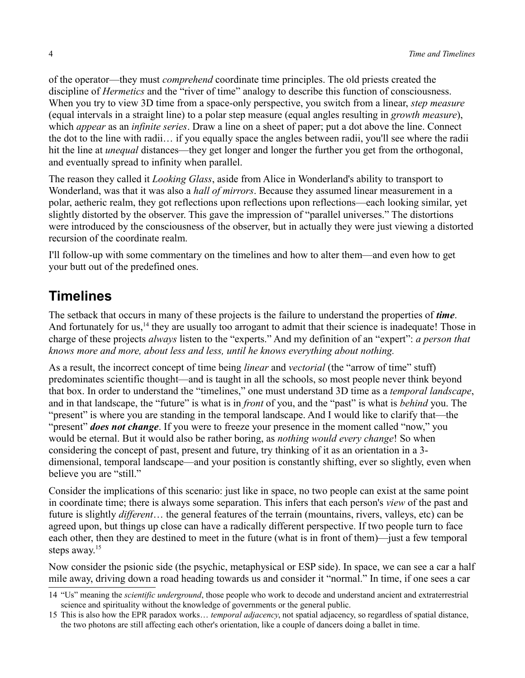of the operator—they must *comprehend* coordinate time principles. The old priests created the discipline of *Hermetics* and the "river of time" analogy to describe this function of consciousness. When you try to view 3D time from a space-only perspective, you switch from a linear, *step measure* (equal intervals in a straight line) to a polar step measure (equal angles resulting in *growth measure*), which *appear* as an *infinite series*. Draw a line on a sheet of paper; put a dot above the line. Connect the dot to the line with radii… if you equally space the angles between radii, you'll see where the radii hit the line at *unequal* distances—they get longer and longer the further you get from the orthogonal, and eventually spread to infinity when parallel.

The reason they called it *Looking Glass*, aside from Alice in Wonderland's ability to transport to Wonderland, was that it was also a *hall of mirrors*. Because they assumed linear measurement in a polar, aetheric realm, they got reflections upon reflections upon reflections—each looking similar, yet slightly distorted by the observer. This gave the impression of "parallel universes." The distortions were introduced by the consciousness of the observer, but in actually they were just viewing a distorted recursion of the coordinate realm.

I'll follow-up with some commentary on the timelines and how to alter them—and even how to get your butt out of the predefined ones.

### **Timelines**

The setback that occurs in many of these projects is the failure to understand the properties of *time*. And fortunately for us,<sup>[14](#page-3-0)</sup> they are usually too arrogant to admit that their science is inadequate! Those in charge of these projects *always* listen to the "experts." And my definition of an "expert": *a person that knows more and more, about less and less, until he knows everything about nothing.*

As a result, the incorrect concept of time being *linear* and *vectorial* (the "arrow of time" stuff) predominates scientific thought—and is taught in all the schools, so most people never think beyond that box. In order to understand the "timelines," one must understand 3D time as a *temporal landscape*, and in that landscape, the "future" is what is in *front* of you, and the "past" is what is *behind* you. The "present" is where you are standing in the temporal landscape. And I would like to clarify that—the "present" *does not change*. If you were to freeze your presence in the moment called "now," you would be eternal. But it would also be rather boring, as *nothing would every change*! So when considering the concept of past, present and future, try thinking of it as an orientation in a 3 dimensional, temporal landscape—and your position is constantly shifting, ever so slightly, even when believe you are "still."

Consider the implications of this scenario: just like in space, no two people can exist at the same point in coordinate time; there is always some separation. This infers that each person's *view* of the past and future is slightly *different*… the general features of the terrain (mountains, rivers, valleys, etc) can be agreed upon, but things up close can have a radically different perspective. If two people turn to face each other, then they are destined to meet in the future (what is in front of them)—just a few temporal steps away.<sup>[15](#page-3-1)</sup>

Now consider the psionic side (the psychic, metaphysical or ESP side). In space, we can see a car a half mile away, driving down a road heading towards us and consider it "normal." In time, if one sees a car

<span id="page-3-0"></span><sup>14</sup> "Us" meaning the *scientific underground*, those people who work to decode and understand ancient and extraterrestrial science and spirituality without the knowledge of governments or the general public.

<span id="page-3-1"></span><sup>15</sup> This is also how the EPR paradox works… *temporal adjacency*, not spatial adjacency, so regardless of spatial distance, the two photons are still affecting each other's orientation, like a couple of dancers doing a ballet in time.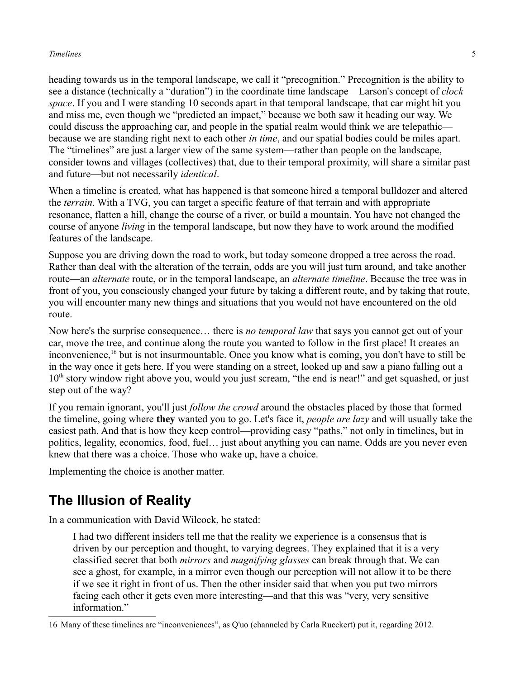#### *Timelines* 5

heading towards us in the temporal landscape, we call it "precognition." Precognition is the ability to see a distance (technically a "duration") in the coordinate time landscape—Larson's concept of *clock space*. If you and I were standing 10 seconds apart in that temporal landscape, that car might hit you and miss me, even though we "predicted an impact," because we both saw it heading our way. We could discuss the approaching car, and people in the spatial realm would think we are telepathic because we are standing right next to each other *in time*, and our spatial bodies could be miles apart. The "timelines" are just a larger view of the same system—rather than people on the landscape, consider towns and villages (collectives) that, due to their temporal proximity, will share a similar past and future—but not necessarily *identical*.

When a timeline is created, what has happened is that someone hired a temporal bulldozer and altered the *terrain*. With a TVG, you can target a specific feature of that terrain and with appropriate resonance, flatten a hill, change the course of a river, or build a mountain. You have not changed the course of anyone *living* in the temporal landscape, but now they have to work around the modified features of the landscape.

Suppose you are driving down the road to work, but today someone dropped a tree across the road. Rather than deal with the alteration of the terrain, odds are you will just turn around, and take another route—an *alternate* route, or in the temporal landscape, an *alternate timeline*. Because the tree was in front of you, you consciously changed your future by taking a different route, and by taking that route, you will encounter many new things and situations that you would not have encountered on the old route.

Now here's the surprise consequence… there is *no temporal law* that says you cannot get out of your car, move the tree, and continue along the route you wanted to follow in the first place! It creates an inconvenience,<sup>[16](#page-4-0)</sup> but is not insurmountable. Once you know what is coming, you don't have to still be in the way once it gets here. If you were standing on a street, looked up and saw a piano falling out a  $10<sup>th</sup>$  story window right above you, would you just scream, "the end is near!" and get squashed, or just step out of the way?

If you remain ignorant, you'll just *follow the crowd* around the obstacles placed by those that formed the timeline, going where **they** wanted you to go. Let's face it, *people are lazy* and will usually take the easiest path. And that is how they keep control—providing easy "paths," not only in timelines, but in politics, legality, economics, food, fuel… just about anything you can name. Odds are you never even knew that there was a choice. Those who wake up, have a choice.

Implementing the choice is another matter.

## **The Illusion of Reality**

In a communication with David Wilcock, he stated:

I had two different insiders tell me that the reality we experience is a consensus that is driven by our perception and thought, to varying degrees. They explained that it is a very classified secret that both *mirrors* and *magnifying glasses* can break through that. We can see a ghost, for example, in a mirror even though our perception will not allow it to be there if we see it right in front of us. Then the other insider said that when you put two mirrors facing each other it gets even more interesting—and that this was "very, very sensitive information."

<span id="page-4-0"></span><sup>16</sup> Many of these timelines are "inconveniences", as Q'uo (channeled by Carla Rueckert) put it, regarding 2012.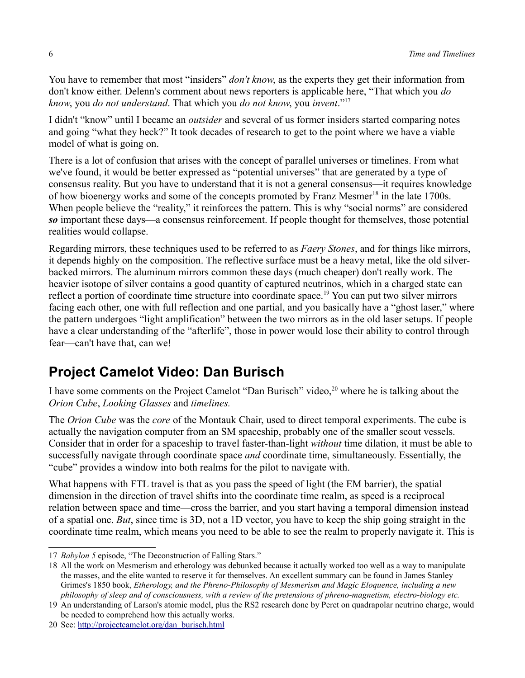You have to remember that most "insiders" *don't know*, as the experts they get their information from don't know either. Delenn's comment about news reporters is applicable here, "That which you *do know*, you *do not understand*. That which you *do not know*, you *invent*."[17](#page-5-0)

I didn't "know" until I became an *outsider* and several of us former insiders started comparing notes and going "what they heck?" It took decades of research to get to the point where we have a viable model of what is going on.

There is a lot of confusion that arises with the concept of parallel universes or timelines. From what we've found, it would be better expressed as "potential universes" that are generated by a type of consensus reality. But you have to understand that it is not a general consensus—it requires knowledge of how bioenergy works and some of the concepts promoted by Franz Mesmer<sup>[18](#page-5-1)</sup> in the late 1700s. When people believe the "reality," it reinforces the pattern. This is why "social norms" are considered *so* important these days—a consensus reinforcement. If people thought for themselves, those potential realities would collapse.

Regarding mirrors, these techniques used to be referred to as *Faery Stones*, and for things like mirrors, it depends highly on the composition. The reflective surface must be a heavy metal, like the old silverbacked mirrors. The aluminum mirrors common these days (much cheaper) don't really work. The heavier isotope of silver contains a good quantity of captured neutrinos, which in a charged state can reflect a portion of coordinate time structure into coordinate space.<sup>[19](#page-5-2)</sup> You can put two silver mirrors facing each other, one with full reflection and one partial, and you basically have a "ghost laser," where the pattern undergoes "light amplification" between the two mirrors as in the old laser setups. If people have a clear understanding of the "afterlife", those in power would lose their ability to control through fear—can't have that, can we!

## **Project Camelot Video: Dan Burisch**

I have some comments on the Project Camelot "Dan Burisch" video,<sup>[20](#page-5-3)</sup> where he is talking about the *Orion Cube*, *Looking Glasses* and *timelines.*

The *Orion Cube* was the *core* of the Montauk Chair, used to direct temporal experiments. The cube is actually the navigation computer from an SM spaceship, probably one of the smaller scout vessels. Consider that in order for a spaceship to travel faster-than-light *without* time dilation, it must be able to successfully navigate through coordinate space *and* coordinate time, simultaneously. Essentially, the "cube" provides a window into both realms for the pilot to navigate with.

What happens with FTL travel is that as you pass the speed of light (the EM barrier), the spatial dimension in the direction of travel shifts into the coordinate time realm, as speed is a reciprocal relation between space and time—cross the barrier, and you start having a temporal dimension instead of a spatial one. *But*, since time is 3D, not a 1D vector, you have to keep the ship going straight in the coordinate time realm, which means you need to be able to see the realm to properly navigate it. This is

<span id="page-5-0"></span><sup>17</sup> *Babylon 5* episode, "The Deconstruction of Falling Stars."

<span id="page-5-1"></span><sup>18</sup> All the work on Mesmerism and etherology was debunked because it actually worked too well as a way to manipulate the masses, and the elite wanted to reserve it for themselves. An excellent summary can be found in James Stanley Grimes's 1850 book, *Etherology, and the Phreno-Philosophy of Mesmerism and Magic Eloquence, including a new philosophy of sleep and of consciousness, with a review of the pretensions of phreno-magnetism, electro-biology etc.*

<span id="page-5-2"></span><sup>19</sup> An understanding of Larson's atomic model, plus the RS2 research done by Peret on quadrapolar neutrino charge, would be needed to comprehend how this actually works.

<span id="page-5-3"></span><sup>20</sup> See: [http://projectcamelot.org/dan\\_burisch.html](http://projectcamelot.org/dan_burisch.html)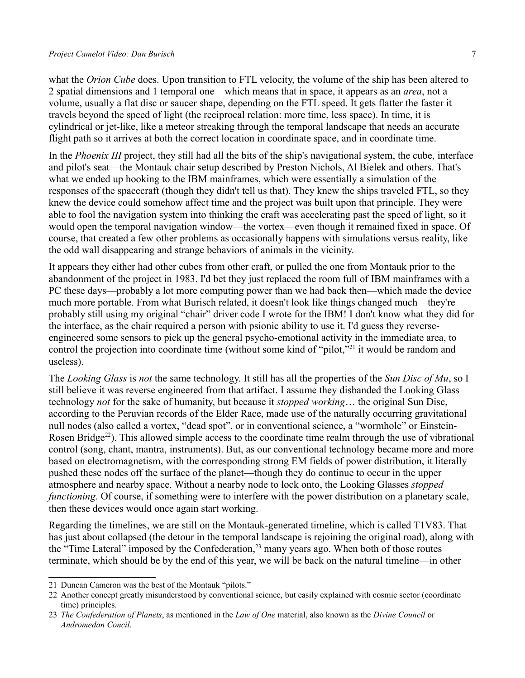#### *Project Camelot Video: Dan Burisch* 7

what the *Orion Cube* does. Upon transition to FTL velocity, the volume of the ship has been altered to 2 spatial dimensions and 1 temporal one—which means that in space, it appears as an *area*, not a volume, usually a flat disc or saucer shape, depending on the FTL speed. It gets flatter the faster it travels beyond the speed of light (the reciprocal relation: more time, less space). In time, it is cylindrical or jet-like, like a meteor streaking through the temporal landscape that needs an accurate flight path so it arrives at both the correct location in coordinate space, and in coordinate time.

In the *Phoenix III* project, they still had all the bits of the ship's navigational system, the cube, interface and pilot's seat—the Montauk chair setup described by Preston Nichols, Al Bielek and others. That's what we ended up hooking to the IBM mainframes, which were essentially a simulation of the responses of the spacecraft (though they didn't tell us that). They knew the ships traveled FTL, so they knew the device could somehow affect time and the project was built upon that principle. They were able to fool the navigation system into thinking the craft was accelerating past the speed of light, so it would open the temporal navigation window—the vortex—even though it remained fixed in space. Of course, that created a few other problems as occasionally happens with simulations versus reality, like the odd wall disappearing and strange behaviors of animals in the vicinity.

It appears they either had other cubes from other craft, or pulled the one from Montauk prior to the abandonment of the project in 1983. I'd bet they just replaced the room full of IBM mainframes with a PC these days—probably a lot more computing power than we had back then—which made the device much more portable. From what Burisch related, it doesn't look like things changed much—they're probably still using my original "chair" driver code I wrote for the IBM! I don't know what they did for the interface, as the chair required a person with psionic ability to use it. I'd guess they reverseengineered some sensors to pick up the general psycho-emotional activity in the immediate area, to control the projection into coordinate time (without some kind of "pilot,"<sup>[21](#page-6-0)</sup> it would be random and useless).

The *Looking Glass* is *not* the same technology. It still has all the properties of the *Sun Disc of Mu*, so I still believe it was reverse engineered from that artifact. I assume they disbanded the Looking Glass technology *not* for the sake of humanity, but because it *stopped working*… the original Sun Disc, according to the Peruvian records of the Elder Race, made use of the naturally occurring gravitational null nodes (also called a vortex, "dead spot", or in conventional science, a "wormhole" or Einstein-Rosen Bridge<sup>[22](#page-6-1)</sup>). This allowed simple access to the coordinate time realm through the use of vibrational control (song, chant, mantra, instruments). But, as our conventional technology became more and more based on electromagnetism, with the corresponding strong EM fields of power distribution, it literally pushed these nodes off the surface of the planet—though they do continue to occur in the upper atmosphere and nearby space. Without a nearby node to lock onto, the Looking Glasses *stopped functioning*. Of course, if something were to interfere with the power distribution on a planetary scale, then these devices would once again start working.

Regarding the timelines, we are still on the Montauk-generated timeline, which is called T1V83. That has just about collapsed (the detour in the temporal landscape is rejoining the original road), along with the "Time Lateral" imposed by the Confederation, $^{23}$  $^{23}$  $^{23}$  many years ago. When both of those routes terminate, which should be by the end of this year, we will be back on the natural timeline—in other

<span id="page-6-0"></span><sup>21</sup> Duncan Cameron was the best of the Montauk "pilots."

<span id="page-6-1"></span><sup>22</sup> Another concept greatly misunderstood by conventional science, but easily explained with cosmic sector (coordinate time) principles.

<span id="page-6-2"></span><sup>23</sup> *The Confederation of Planets*, as mentioned in the *Law of One* material, also known as the *Divine Council* or *Andromedan Concil*.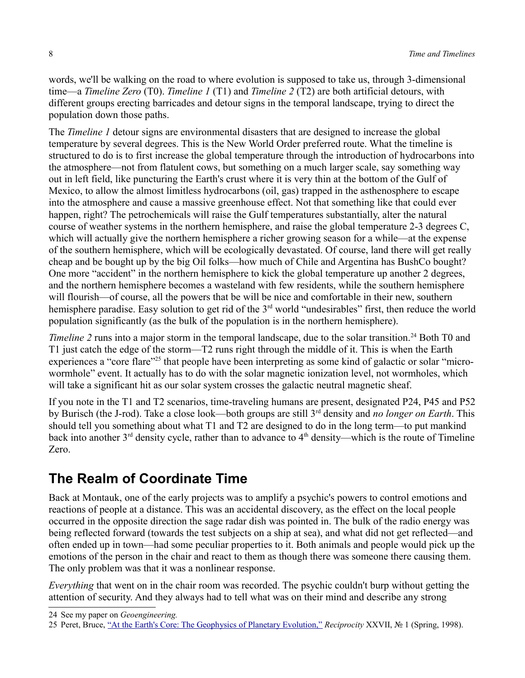words, we'll be walking on the road to where evolution is supposed to take us, through 3-dimensional time—a *Timeline Zero* (T0). *Timeline 1* (T1) and *Timeline 2* (T2) are both artificial detours, with different groups erecting barricades and detour signs in the temporal landscape, trying to direct the population down those paths.

The *Timeline 1* detour signs are environmental disasters that are designed to increase the global temperature by several degrees. This is the New World Order preferred route. What the timeline is structured to do is to first increase the global temperature through the introduction of hydrocarbons into the atmosphere—not from flatulent cows, but something on a much larger scale, say something way out in left field, like puncturing the Earth's crust where it is very thin at the bottom of the Gulf of Mexico, to allow the almost limitless hydrocarbons (oil, gas) trapped in the asthenosphere to escape into the atmosphere and cause a massive greenhouse effect. Not that something like that could ever happen, right? The petrochemicals will raise the Gulf temperatures substantially, alter the natural course of weather systems in the northern hemisphere, and raise the global temperature 2-3 degrees C, which will actually give the northern hemisphere a richer growing season for a while—at the expense of the southern hemisphere, which will be ecologically devastated. Of course, land there will get really cheap and be bought up by the big Oil folks—how much of Chile and Argentina has BushCo bought? One more "accident" in the northern hemisphere to kick the global temperature up another 2 degrees, and the northern hemisphere becomes a wasteland with few residents, while the southern hemisphere will flourish—of course, all the powers that be will be nice and comfortable in their new, southern hemisphere paradise. Easy solution to get rid of the 3<sup>rd</sup> world "undesirables" first, then reduce the world population significantly (as the bulk of the population is in the northern hemisphere).

*Timeline 2* runs into a major storm in the temporal landscape, due to the solar transition.<sup>[24](#page-7-0)</sup> Both T0 and T1 just catch the edge of the storm—T2 runs right through the middle of it. This is when the Earth experiences a "core flare"<sup>[25](#page-7-1)</sup> that people have been interpreting as some kind of galactic or solar "microwormhole" event. It actually has to do with the solar magnetic ionization level, not wormholes, which will take a significant hit as our solar system crosses the galactic neutral magnetic sheaf.

If you note in the T1 and T2 scenarios, time-traveling humans are present, designated P24, P45 and P52 by Burisch (the J-rod). Take a close look—both groups are still 3rd density and *no longer on Earth*. This should tell you something about what T1 and T2 are designed to do in the long term—to put mankind back into another  $3<sup>rd</sup>$  density cycle, rather than to advance to  $4<sup>th</sup>$  density—which is the route of Timeline Zero.

## **The Realm of Coordinate Time**

Back at Montauk, one of the early projects was to amplify a psychic's powers to control emotions and reactions of people at a distance. This was an accidental discovery, as the effect on the local people occurred in the opposite direction the sage radar dish was pointed in. The bulk of the radio energy was being reflected forward (towards the test subjects on a ship at sea), and what did not get reflected—and often ended up in town—had some peculiar properties to it. Both animals and people would pick up the emotions of the person in the chair and react to them as though there was someone there causing them. The only problem was that it was a nonlinear response.

*Everything* that went on in the chair room was recorded. The psychic couldn't burp without getting the attention of security. And they always had to tell what was on their mind and describe any strong

<span id="page-7-0"></span><sup>24</sup> See my paper on *Geoengineering.*

<span id="page-7-1"></span><sup>25</sup> Peret, Bruce, ["At the Earth's Core: The Geophysics of Planetary Evolution,"](http://reciprocalsystem.org/PDFa/At%20the%20Earth) *Reciprocity* XXVII, № 1 (Spring, 1998).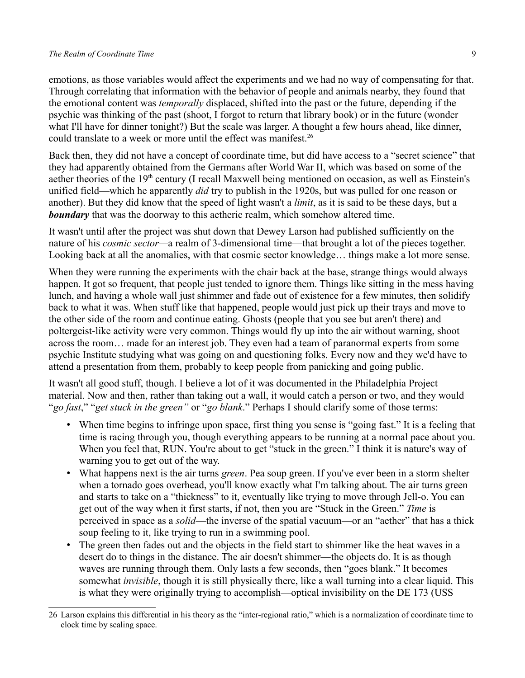#### *The Realm of Coordinate Time* 9

emotions, as those variables would affect the experiments and we had no way of compensating for that. Through correlating that information with the behavior of people and animals nearby, they found that the emotional content was *temporally* displaced, shifted into the past or the future, depending if the psychic was thinking of the past (shoot, I forgot to return that library book) or in the future (wonder what I'll have for dinner tonight?) But the scale was larger. A thought a few hours ahead, like dinner, could translate to a week or more until the effect was manifest.<sup>[26](#page-8-0)</sup>

Back then, they did not have a concept of coordinate time, but did have access to a "secret science" that they had apparently obtained from the Germans after World War II, which was based on some of the aether theories of the 19<sup>th</sup> century (I recall Maxwell being mentioned on occasion, as well as Einstein's unified field—which he apparently *did* try to publish in the 1920s, but was pulled for one reason or another). But they did know that the speed of light wasn't a *limit*, as it is said to be these days, but a *boundary* that was the doorway to this aetheric realm, which somehow altered time.

It wasn't until after the project was shut down that Dewey Larson had published sufficiently on the nature of his *cosmic sector—*a realm of 3-dimensional time—that brought a lot of the pieces together. Looking back at all the anomalies, with that cosmic sector knowledge… things make a lot more sense.

When they were running the experiments with the chair back at the base, strange things would always happen. It got so frequent, that people just tended to ignore them. Things like sitting in the mess having lunch, and having a whole wall just shimmer and fade out of existence for a few minutes, then solidify back to what it was. When stuff like that happened, people would just pick up their trays and move to the other side of the room and continue eating. Ghosts (people that you see but aren't there) and poltergeist-like activity were very common. Things would fly up into the air without warning, shoot across the room… made for an interest job. They even had a team of paranormal experts from some psychic Institute studying what was going on and questioning folks. Every now and they we'd have to attend a presentation from them, probably to keep people from panicking and going public.

It wasn't all good stuff, though. I believe a lot of it was documented in the Philadelphia Project material. Now and then, rather than taking out a wall, it would catch a person or two, and they would "*go fast*," "*get stuck in the green"* or "*go blank*." Perhaps I should clarify some of those terms:

- When time begins to infringe upon space, first thing you sense is "going fast." It is a feeling that time is racing through you, though everything appears to be running at a normal pace about you. When you feel that, RUN. You're about to get "stuck in the green." I think it is nature's way of warning you to get out of the way.
- What happens next is the air turns *green*. Pea soup green. If you've ever been in a storm shelter when a tornado goes overhead, you'll know exactly what I'm talking about. The air turns green and starts to take on a "thickness" to it, eventually like trying to move through Jell-o. You can get out of the way when it first starts, if not, then you are "Stuck in the Green." *Time* is perceived in space as a *solid*—the inverse of the spatial vacuum—or an "aether" that has a thick soup feeling to it, like trying to run in a swimming pool.
- The green then fades out and the objects in the field start to shimmer like the heat waves in a desert do to things in the distance. The air doesn't shimmer—the objects do. It is as though waves are running through them. Only lasts a few seconds, then "goes blank." It becomes somewhat *invisible*, though it is still physically there, like a wall turning into a clear liquid. This is what they were originally trying to accomplish—optical invisibility on the DE 173 (USS

<span id="page-8-0"></span><sup>26</sup> Larson explains this differential in his theory as the "inter-regional ratio," which is a normalization of coordinate time to clock time by scaling space.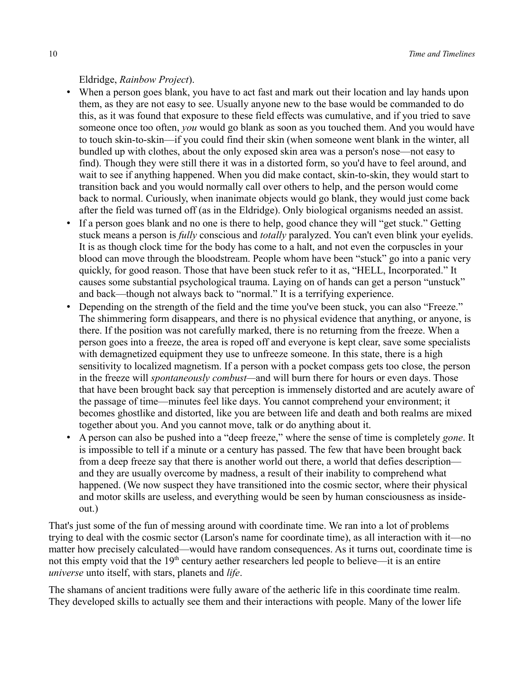#### Eldridge, *Rainbow Project*).

- When a person goes blank, you have to act fast and mark out their location and lay hands upon them, as they are not easy to see. Usually anyone new to the base would be commanded to do this, as it was found that exposure to these field effects was cumulative, and if you tried to save someone once too often, *you* would go blank as soon as you touched them. And you would have to touch skin-to-skin—if you could find their skin (when someone went blank in the winter, all bundled up with clothes, about the only exposed skin area was a person's nose—not easy to find). Though they were still there it was in a distorted form, so you'd have to feel around, and wait to see if anything happened. When you did make contact, skin-to-skin, they would start to transition back and you would normally call over others to help, and the person would come back to normal. Curiously, when inanimate objects would go blank, they would just come back after the field was turned off (as in the Eldridge). Only biological organisms needed an assist.
- If a person goes blank and no one is there to help, good chance they will "get stuck." Getting stuck means a person is *fully* conscious and *totally* paralyzed. You can't even blink your eyelids. It is as though clock time for the body has come to a halt, and not even the corpuscles in your blood can move through the bloodstream. People whom have been "stuck" go into a panic very quickly, for good reason. Those that have been stuck refer to it as, "HELL, Incorporated." It causes some substantial psychological trauma. Laying on of hands can get a person "unstuck" and back—though not always back to "normal." It is a terrifying experience.
- Depending on the strength of the field and the time you've been stuck, you can also "Freeze." The shimmering form disappears, and there is no physical evidence that anything, or anyone, is there. If the position was not carefully marked, there is no returning from the freeze. When a person goes into a freeze, the area is roped off and everyone is kept clear, save some specialists with demagnetized equipment they use to unfreeze someone. In this state, there is a high sensitivity to localized magnetism. If a person with a pocket compass gets too close, the person in the freeze will *spontaneously combust—*and will burn there for hours or even days. Those that have been brought back say that perception is immensely distorted and are acutely aware of the passage of time—minutes feel like days. You cannot comprehend your environment; it becomes ghostlike and distorted, like you are between life and death and both realms are mixed together about you. And you cannot move, talk or do anything about it.
- A person can also be pushed into a "deep freeze," where the sense of time is completely *gone*. It is impossible to tell if a minute or a century has passed. The few that have been brought back from a deep freeze say that there is another world out there, a world that defies description and they are usually overcome by madness, a result of their inability to comprehend what happened. (We now suspect they have transitioned into the cosmic sector, where their physical and motor skills are useless, and everything would be seen by human consciousness as insideout.)

That's just some of the fun of messing around with coordinate time. We ran into a lot of problems trying to deal with the cosmic sector (Larson's name for coordinate time), as all interaction with it—no matter how precisely calculated—would have random consequences. As it turns out, coordinate time is not this empty void that the  $19<sup>th</sup>$  century aether researchers led people to believe—it is an entire *universe* unto itself, with stars, planets and *life*.

The shamans of ancient traditions were fully aware of the aetheric life in this coordinate time realm. They developed skills to actually see them and their interactions with people. Many of the lower life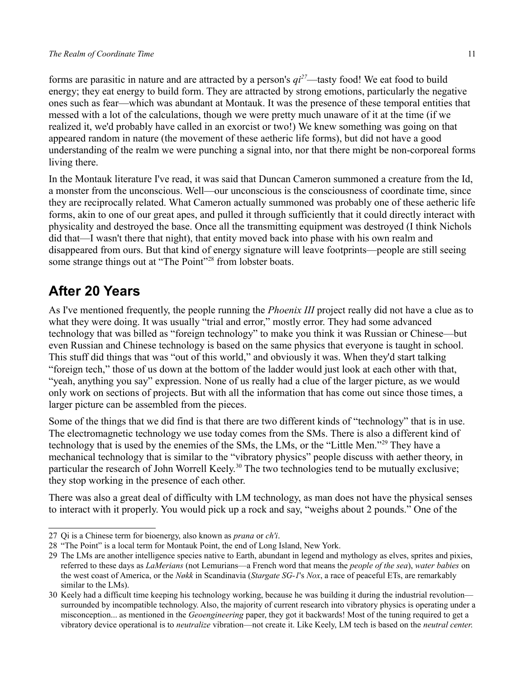forms are parasitic in nature and are attracted by a person's *qi[27](#page-10-0)*—tasty food! We eat food to build energy; they eat energy to build form. They are attracted by strong emotions, particularly the negative ones such as fear—which was abundant at Montauk. It was the presence of these temporal entities that messed with a lot of the calculations, though we were pretty much unaware of it at the time (if we realized it, we'd probably have called in an exorcist or two!) We knew something was going on that appeared random in nature (the movement of these aetheric life forms), but did not have a good understanding of the realm we were punching a signal into, nor that there might be non-corporeal forms living there.

In the Montauk literature I've read, it was said that Duncan Cameron summoned a creature from the Id, a monster from the unconscious. Well—our unconscious is the consciousness of coordinate time, since they are reciprocally related. What Cameron actually summoned was probably one of these aetheric life forms, akin to one of our great apes, and pulled it through sufficiently that it could directly interact with physicality and destroyed the base. Once all the transmitting equipment was destroyed (I think Nichols did that—I wasn't there that night), that entity moved back into phase with his own realm and disappeared from ours. But that kind of energy signature will leave footprints—people are still seeing some strange things out at "The Point"<sup>[28](#page-10-1)</sup> from lobster boats.

### **After 20 Years**

As I've mentioned frequently, the people running the *Phoenix III* project really did not have a clue as to what they were doing. It was usually "trial and error," mostly error. They had some advanced technology that was billed as "foreign technology" to make you think it was Russian or Chinese—but even Russian and Chinese technology is based on the same physics that everyone is taught in school. This stuff did things that was "out of this world," and obviously it was. When they'd start talking "foreign tech," those of us down at the bottom of the ladder would just look at each other with that, "yeah, anything you say" expression. None of us really had a clue of the larger picture, as we would only work on sections of projects. But with all the information that has come out since those times, a larger picture can be assembled from the pieces.

Some of the things that we did find is that there are two different kinds of "technology" that is in use. The electromagnetic technology we use today comes from the SMs. There is also a different kind of technology that is used by the enemies of the SMs, the LMs, or the "Little Men."[29](#page-10-2) They have a mechanical technology that is similar to the "vibratory physics" people discuss with aether theory, in particular the research of John Worrell Keely.<sup>[30](#page-10-3)</sup> The two technologies tend to be mutually exclusive; they stop working in the presence of each other.

There was also a great deal of difficulty with LM technology, as man does not have the physical senses to interact with it properly. You would pick up a rock and say, "weighs about 2 pounds." One of the

<span id="page-10-0"></span><sup>27</sup> Qi is a Chinese term for bioenergy, also known as *prana* or *ch'i*.

<span id="page-10-1"></span><sup>28</sup> "The Point" is a local term for Montauk Point, the end of Long Island, New York.

<span id="page-10-2"></span><sup>29</sup> The LMs are another intelligence species native to Earth, abundant in legend and mythology as elves, sprites and pixies, referred to these days as *LaMerians* (not Lemurians—a French word that means the *people of the sea*), *water babies* on the west coast of America, or the *Nøkk* in Scandinavia (*Stargate SG-1*'s *Nox*, a race of peaceful ETs, are remarkably similar to the LMs).

<span id="page-10-3"></span><sup>30</sup> Keely had a difficult time keeping his technology working, because he was building it during the industrial revolution surrounded by incompatible technology. Also, the majority of current research into vibratory physics is operating under a misconception... as mentioned in the *Geoengineering* paper, they got it backwards! Most of the tuning required to get a vibratory device operational is to *neutralize* vibration—not create it. Like Keely, LM tech is based on the *neutral center*.